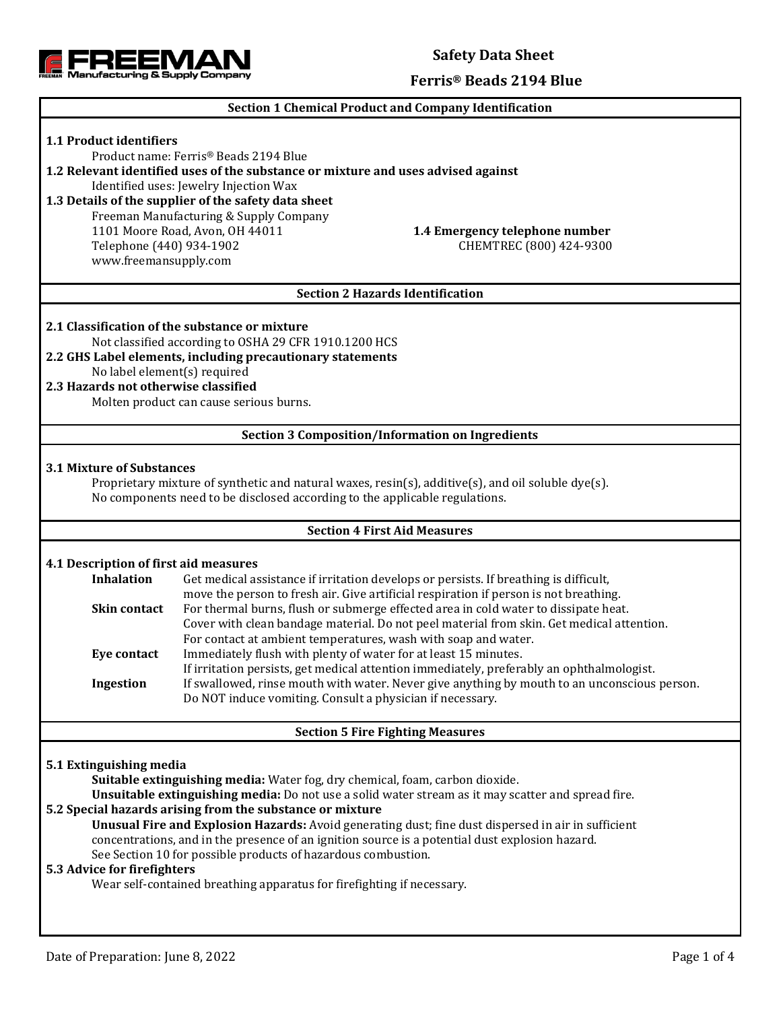

### **Safety Data Sheet**

#### **Ferris® Beads 2194 Blue**

#### **Section 1 Chemical Product and Company Identification**

# **1.1 Product identifiers** Product name: Ferris® Beads 2194 Blue **1.2 Relevant identified uses of the substance or mixture and uses advised against** Identified uses: Jewelry Injection Wax **1.3 Details of the supplier of the safety data sheet** Freeman Manufacturing & Supply Company 1101 Moore Road, Avon, OH 44011 **1.4 Emergency telephone number** Telephone (440) 934-1902 CHEMTREC (800) 424-9300 www.freemansupply.com **Section 2 Hazards Identification 2.1 Classification of the substance or mixture** Not classified according to OSHA 29 CFR 1910.1200 HCS **2.2 GHS Label elements, including precautionary statements** No label element(s) required **2.3 Hazards not otherwise classified** Molten product can cause serious burns. **Section 3 Composition/Information on Ingredients 3.1 Mixture of Substances** Proprietary mixture of synthetic and natural waxes, resin(s), additive(s), and oil soluble dye(s). No components need to be disclosed according to the applicable regulations. **Section 4 First Aid Measures 4.1 Description of first aid measures Inhalation** Get medical assistance if irritation develops or persists. If breathing is difficult, move the person to fresh air. Give artificial respiration if person is not breathing. **Skin contact** For thermal burns, flush or submerge effected area in cold water to dissipate heat. Cover with clean bandage material. Do not peel material from skin. Get medical attention. For contact at ambient temperatures, wash with soap and water. **Eye contact** Immediately flush with plenty of water for at least 15 minutes. If irritation persists, get medical attention immediately, preferably an ophthalmologist. **Ingestion** If swallowed, rinse mouth with water. Never give anything by mouth to an unconscious person. Do NOT induce vomiting. Consult a physician if necessary. **Section 5 Fire Fighting Measures 5.1 Extinguishing media Suitable extinguishing media:** Water fog, dry chemical, foam, carbon dioxide. **Unsuitable extinguishing media:** Do not use a solid water stream as it may scatter and spread fire. **5.2 Special hazards arising from the substance or mixture Unusual Fire and Explosion Hazards:** Avoid generating dust; fine dust dispersed in air in sufficient concentrations, and in the presence of an ignition source is a potential dust explosion hazard. See Section 10 for possible products of hazardous combustion. **5.3 Advice for firefighters** Wear self-contained breathing apparatus for firefighting if necessary.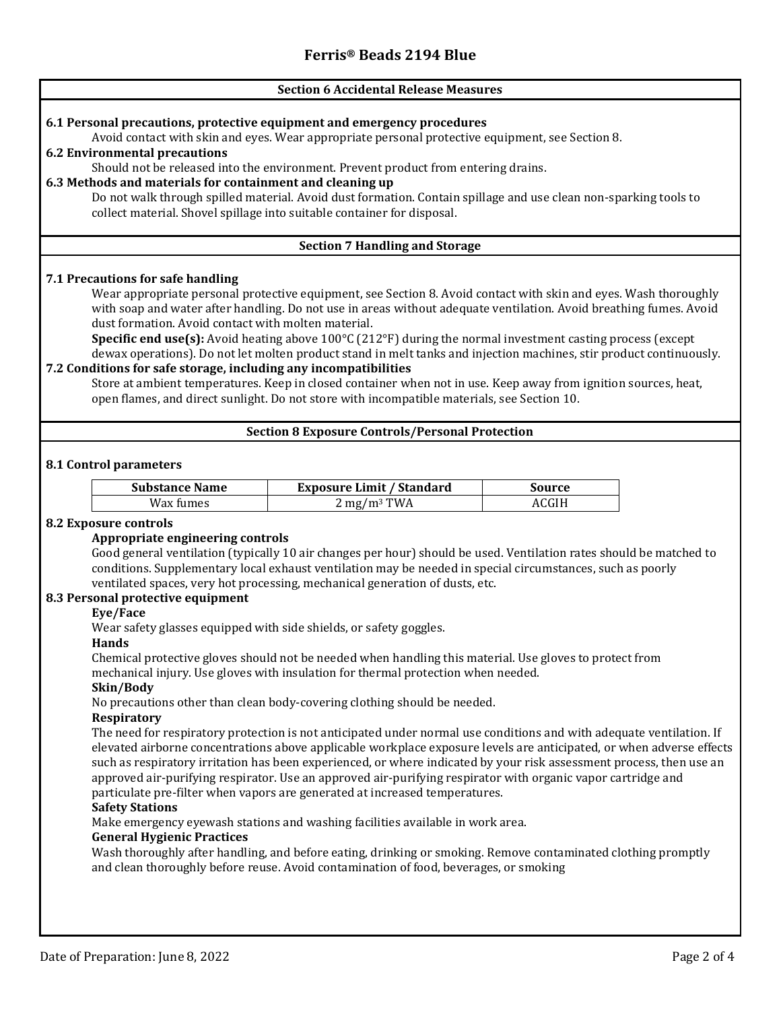## **Section 6 Accidental Release Measures 6.1 Personal precautions, protective equipment and emergency procedures** Avoid contact with skin and eyes. Wear appropriate personal protective equipment, see Section 8. **6.2 Environmental precautions** Should not be released into the environment. Prevent product from entering drains. **6.3 Methods and materials for containment and cleaning up** Do not walk through spilled material. Avoid dust formation. Contain spillage and use clean non-sparking tools to collect material. Shovel spillage into suitable container for disposal. **Section 7 Handling and Storage 7.1 Precautions for safe handling** Wear appropriate personal protective equipment, see Section 8. Avoid contact with skin and eyes. Wash thoroughly with soap and water after handling. Do not use in areas without adequate ventilation. Avoid breathing fumes. Avoid dust formation. Avoid contact with molten material. **Specific end use(s):** Avoid heating above 100°C (212°F) during the normal investment casting process (except dewax operations). Do not let molten product stand in melt tanks and injection machines, stir product continuously. **7.2 Conditions for safe storage, including any incompatibilities** Store at ambient temperatures. Keep in closed container when not in use. Keep away from ignition sources, heat, open flames, and direct sunlight. Do not store with incompatible materials, see Section 10. **Section 8 Exposure Controls/Personal Protection 8.1 Control parameters Substance Name Exposure Limit / Standard Source**  $Wax \, \text{fumes}$  2 mg/m<sup>3</sup> TWA  $ACGIH$ **8.2 Exposure controls Appropriate engineering controls** Good general ventilation (typically 10 air changes per hour) should be used. Ventilation rates should be matched to conditions. Supplementary local exhaust ventilation may be needed in special circumstances, such as poorly ventilated spaces, very hot processing, mechanical generation of dusts, etc. **8.3 Personal protective equipment Eye/Face** Wear safety glasses equipped with side shields, or safety goggles. **Hands** Chemical protective gloves should not be needed when handling this material. Use gloves to protect from mechanical injury. Use gloves with insulation for thermal protection when needed. **Skin/Body** No precautions other than clean body-covering clothing should be needed. **Respiratory** The need for respiratory protection is not anticipated under normal use conditions and with adequate ventilation. If elevated airborne concentrations above applicable workplace exposure levels are anticipated, or when adverse effects such as respiratory irritation has been experienced, or where indicated by your risk assessment process, then use an approved air-purifying respirator. Use an approved air-purifying respirator with organic vapor cartridge and particulate pre-filter when vapors are generated at increased temperatures. **Safety Stations** Make emergency eyewash stations and washing facilities available in work area. **General Hygienic Practices** Wash thoroughly after handling, and before eating, drinking or smoking. Remove contaminated clothing promptly and clean thoroughly before reuse. Avoid contamination of food, beverages, or smoking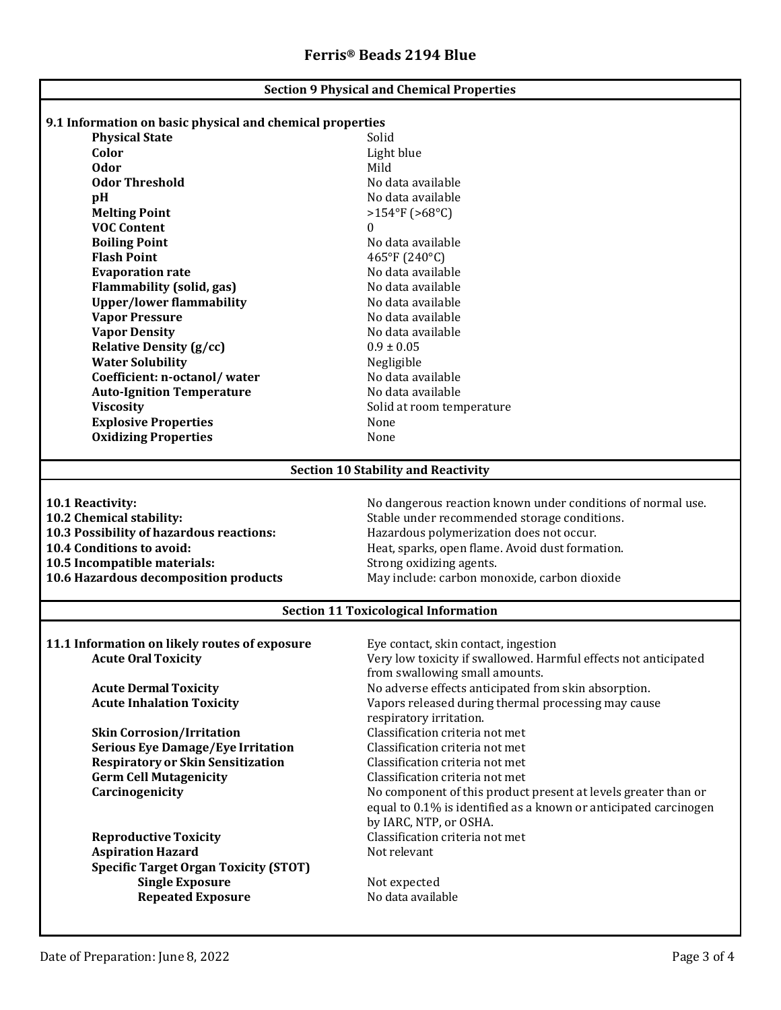| <b>Section 9 Physical and Chemical Properties</b>         |                                                                  |  |  |
|-----------------------------------------------------------|------------------------------------------------------------------|--|--|
|                                                           |                                                                  |  |  |
| 9.1 Information on basic physical and chemical properties |                                                                  |  |  |
| <b>Physical State</b><br>Color                            | Solid<br>Light blue                                              |  |  |
| <b>Odor</b>                                               | Mild                                                             |  |  |
| <b>Odor Threshold</b>                                     | No data available                                                |  |  |
|                                                           | No data available                                                |  |  |
| pH<br><b>Melting Point</b>                                | $>154^{\circ}F(>68^{\circ}C)$                                    |  |  |
| <b>VOC Content</b>                                        | 0                                                                |  |  |
| <b>Boiling Point</b>                                      | No data available                                                |  |  |
| <b>Flash Point</b>                                        |                                                                  |  |  |
| <b>Evaporation rate</b>                                   | 465°F (240°C)<br>No data available                               |  |  |
| <b>Flammability (solid, gas)</b>                          | No data available                                                |  |  |
| <b>Upper/lower flammability</b>                           | No data available                                                |  |  |
| <b>Vapor Pressure</b>                                     | No data available                                                |  |  |
| <b>Vapor Density</b>                                      | No data available                                                |  |  |
| <b>Relative Density (g/cc)</b>                            | $0.9 \pm 0.05$                                                   |  |  |
| <b>Water Solubility</b>                                   |                                                                  |  |  |
| Coefficient: n-octanol/water                              | Negligible<br>No data available                                  |  |  |
| <b>Auto-Ignition Temperature</b>                          | No data available                                                |  |  |
| <b>Viscosity</b>                                          | Solid at room temperature                                        |  |  |
| <b>Explosive Properties</b>                               | None                                                             |  |  |
| <b>Oxidizing Properties</b>                               | None                                                             |  |  |
|                                                           |                                                                  |  |  |
| <b>Section 10 Stability and Reactivity</b>                |                                                                  |  |  |
|                                                           |                                                                  |  |  |
| 10.1 Reactivity:                                          | No dangerous reaction known under conditions of normal use.      |  |  |
| 10.2 Chemical stability:                                  | Stable under recommended storage conditions.                     |  |  |
| 10.3 Possibility of hazardous reactions:                  | Hazardous polymerization does not occur.                         |  |  |
| 10.4 Conditions to avoid:                                 | Heat, sparks, open flame. Avoid dust formation.                  |  |  |
| 10.5 Incompatible materials:                              | Strong oxidizing agents.                                         |  |  |
| 10.6 Hazardous decomposition products                     | May include: carbon monoxide, carbon dioxide                     |  |  |
| <b>Section 11 Toxicological Information</b>               |                                                                  |  |  |
|                                                           |                                                                  |  |  |
| 11.1 Information on likely routes of exposure             | Eve contact, skin contact, ingestion                             |  |  |
| <b>Acute Oral Toxicity</b>                                | Very low toxicity if swallowed. Harmful effects not anticipated  |  |  |
|                                                           | from swallowing small amounts.                                   |  |  |
| <b>Acute Dermal Toxicity</b>                              | No adverse effects anticipated from skin absorption.             |  |  |
| <b>Acute Inhalation Toxicity</b>                          | Vapors released during thermal processing may cause              |  |  |
|                                                           | respiratory irritation.                                          |  |  |
| <b>Skin Corrosion/Irritation</b>                          | Classification criteria not met                                  |  |  |
| <b>Serious Eye Damage/Eye Irritation</b>                  | Classification criteria not met                                  |  |  |
| <b>Respiratory or Skin Sensitization</b>                  | Classification criteria not met                                  |  |  |
| <b>Germ Cell Mutagenicity</b>                             | Classification criteria not met                                  |  |  |
| Carcinogenicity                                           | No component of this product present at levels greater than or   |  |  |
|                                                           | equal to 0.1% is identified as a known or anticipated carcinogen |  |  |
|                                                           | by IARC, NTP, or OSHA.                                           |  |  |
| <b>Reproductive Toxicity</b>                              | Classification criteria not met                                  |  |  |
| <b>Aspiration Hazard</b>                                  | Not relevant                                                     |  |  |
| <b>Specific Target Organ Toxicity (STOT)</b>              |                                                                  |  |  |
| <b>Single Exposure</b>                                    | Not expected                                                     |  |  |
| <b>Repeated Exposure</b>                                  | No data available                                                |  |  |